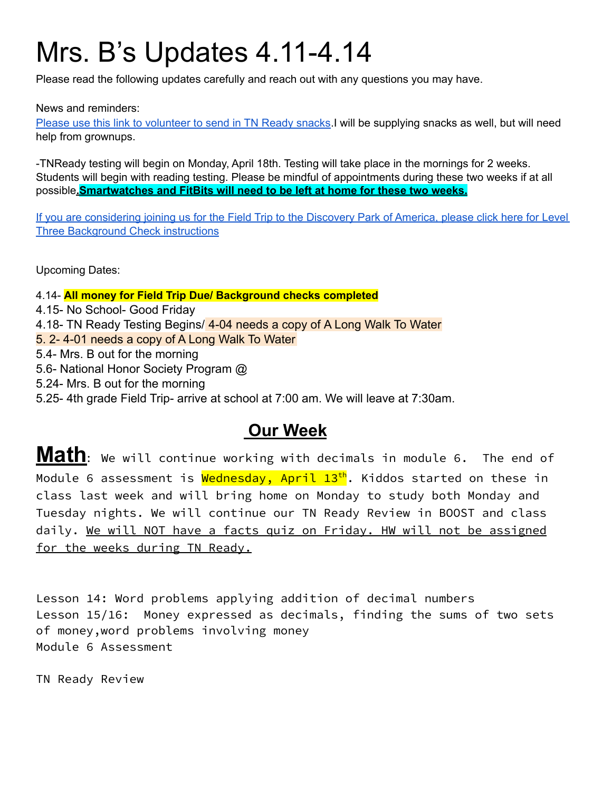# Mrs. B's Updates 4.11-4.14

Please read the following updates carefully and reach out with any questions you may have.

News and reminders:

Please use this link to [volunteer](https://www.signupgenius.com/go/10C0D49ACA72DA4FAC16-tnready) to send in TN Ready snacks. I will be supplying snacks as well, but will need help from grownups.

-TNReady testing will begin on Monday, April 18th. Testing will take place in the mornings for 2 weeks. Students will begin with reading testing. Please be mindful of appointments during these two weeks if at all possible**.Smartwatches and FitBits will need to be left at home for these two weeks.**

If you are [considering](http://www.scsk12.org/face/level3) joining us for the Field Trip to the Discovery Park of America, please click here for Level Three [Background](http://www.scsk12.org/face/level3) Check instructions

Upcoming Dates:

4.14- **All money for Field Trip Due/ Background checks completed** 4.15- No School- Good Friday 4.18- TN Ready Testing Begins/ 4-04 needs a copy of A Long Walk To Water 5. 2- 4-01 needs a copy of A Long Walk To Water 5.4- Mrs. B out for the morning 5.6- National Honor Society Program @ 5.24- Mrs. B out for the morning 5.25- 4th grade Field Trip- arrive at school at 7:00 am. We will leave at 7:30am.

### **Our Week**

**Math**: We will continue working with decimals in module 6. The end of Module 6 assessment is <mark>Wednesday, April 13<sup>th</sup>. Kiddos started on these in</mark> class last week and will bring home on Monday to study both Monday and Tuesday nights. We will continue our TN Ready Review in BOOST and class daily. We will NOT have a facts quiz on Friday. HW will not be assigned for the weeks during TN Ready.

Lesson 14: Word problems applying addition of decimal numbers Lesson 15/16: Money expressed as decimals, finding the sums of two sets of money,word problems involving money Module 6 Assessment

TN Ready Review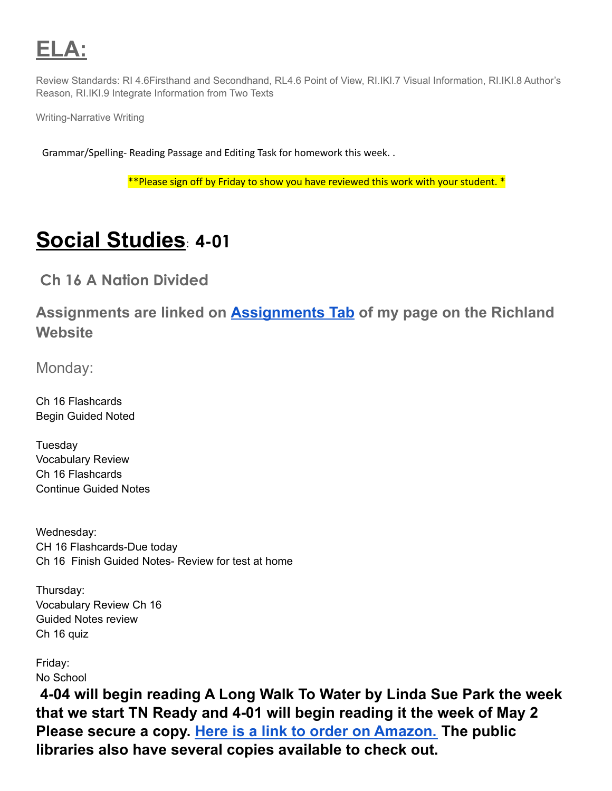## **ELA:**

Review Standards: RI 4.6Firsthand and Secondhand, RL4.6 Point of View, RI.IKI.7 Visual Information, RI.IKI.8 Author's Reason, RI.IKI.9 Integrate Information from Two Texts

Writing-Narrative Writing

Grammar/Spelling- Reading Passage and Editing Task for homework this week. .

\*\*Please sign off by Friday to show you have reviewed this work with your student. \*

## **Social Studies**: **4-01**

**Ch 16 A Nation Divided**

**Assignments are linked on [Assignments Tab](https://schools.scsk12.org/Page/14428) of my page on the Richland Website**

Monday:

Ch 16 Flashcards Begin Guided Noted

**Tuesday** Vocabulary Review Ch 16 Flashcards Continue Guided Notes

Wednesday: CH 16 Flashcards-Due today Ch 16 Finish Guided Notes- Review for test at home

Thursday: Vocabulary Review Ch 16 Guided Notes review Ch 16 quiz

Friday: No School

**4-04 will begin reading A Long Walk To Water by Linda Sue Park the week that we start TN Ready and 4-01 will begin reading it the week of May 2 Please secure a copy. [Here is a link to order on Amazon.](https://www.amazon.com/Long-Walk-Water-Based-Story/dp/0547577311/ref=sr_1_1?crid=1AX3S7CBGRAUM&keywords=a+long+walk+to+water&qid=1648759538&sprefix=A+Long+Walk+%2Caps%2C120&sr=8-1) The public libraries also have several copies available to check out.**